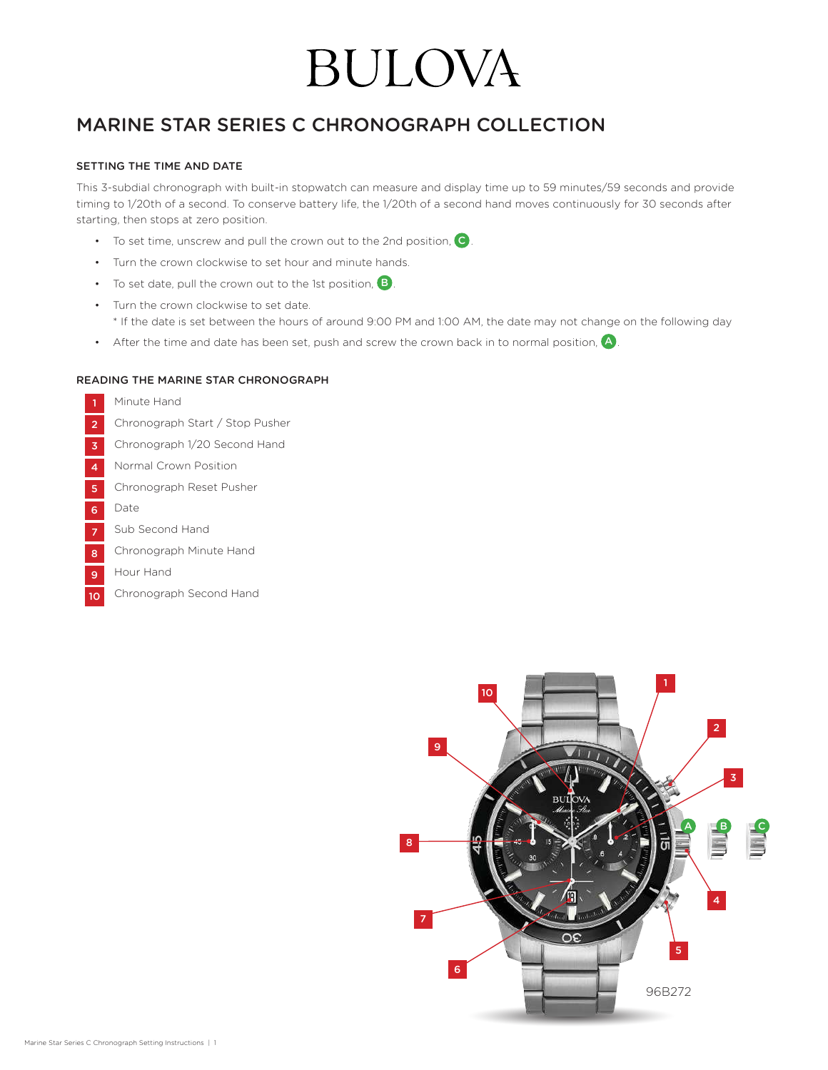# **BULOVA**

## MARINE STAR SERIES C CHRONOGRAPH COLLECTION

### SETTING THE TIME AND DATE

This 3-subdial chronograph with built-in stopwatch can measure and display time up to 59 minutes/59 seconds and provide timing to 1/20th of a second. To conserve battery life, the 1/20th of a second hand moves continuously for 30 seconds after starting, then stops at zero position.

- To set time, unscrew and pull the crown out to the 2nd position,  $\mathbf C$ .
- Turn the crown clockwise to set hour and minute hands.
- To set date, pull the crown out to the 1st position,  $\mathbf{B}$ .
- Turn the crown clockwise to set date. \* If the date is set between the hours of around 9:00 PM and 1:00 AM, the date may not change on the following day
- After the time and date has been set, push and screw the crown back in to normal position,  $\blacktriangle$ .

### READING THE MARINE STAR CHRONOGRAPH

- Minute Hand
- Chronograph Start / Stop Pusher 2
- Chronograph 1/20 Second Hand 3
- Normal Crown Position 4
- Chronograph Reset Pusher 5
- Date 6
- Sub Second Hand 7
- Chronograph Minute Hand 8
- Hour Hand 9
- Chronograph Second Hand 10